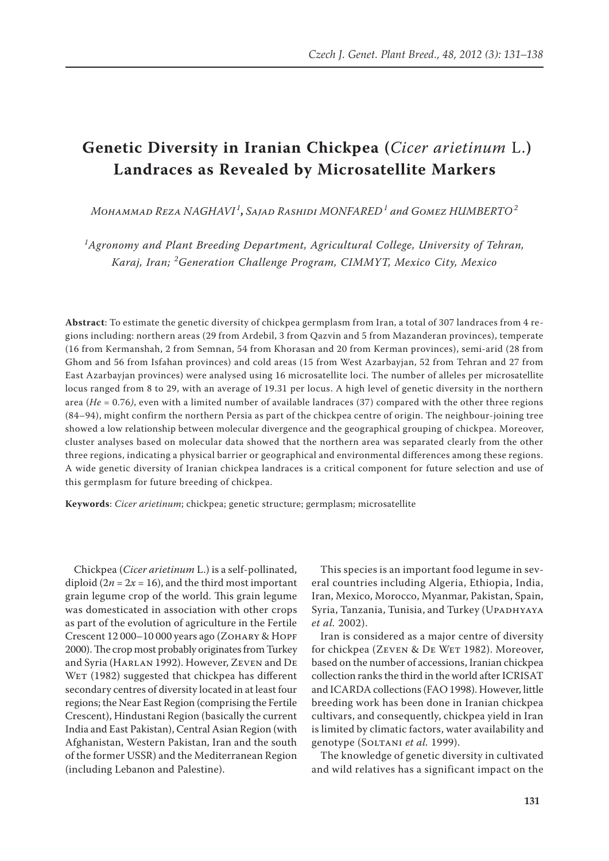# **Genetic Diversity in Iranian Chickpea (***Cicer arietinum* L.**) Landraces as Revealed by Microsatellite Markers**

*Mohammad Reza NAGHAVI <sup>1</sup>* **,** *Sajad Rashidi MONFARED<sup>1</sup> and Gomez HUMBERTO<sup>2</sup>*

*1 Agronomy and Plant Breeding Department, Agricultural College, University of Tehran, Karaj, Iran; <sup>2</sup> Generation Challenge Program, CIMMYT, Mexico City, Mexico*

**Abstract**: To estimate the genetic diversity of chickpea germplasm from Iran, a total of 307 landraces from 4 regions including: northern areas (29 from Ardebil, 3 from Qazvin and 5 from Mazanderan provinces), temperate (16 from Kermanshah, 2 from Semnan, 54 from Khorasan and 20 from Kerman provinces), semi-arid (28 from Ghom and 56 from Isfahan provinces) and cold areas (15 from West Azarbayjan, 52 from Tehran and 27 from East Azarbayjan provinces) were analysed using 16 microsatellite loci. The number of alleles per microsatellite locus ranged from 8 to 29, with an average of 19.31 per locus. A high level of genetic diversity in the northern area (*He* = 0.76*)*, even with a limited number of available landraces (37) compared with the other three regions (84–94), might confirm the northern Persia as part of the chickpea centre of origin. The neighbour-joining tree showed a low relationship between molecular divergence and the geographical grouping of chickpea. Moreover, cluster analyses based on molecular data showed that the northern area was separated clearly from the other three regions, indicating a physical barrier or geographical and environmental differences among these regions. A wide genetic diversity of Iranian chickpea landraces is a critical component for future selection and use of this germplasm for future breeding of chickpea.

**Keywords**: *Cicer arietinum*; chickpea; genetic structure; germplasm; microsatellite

Chickpea (*Cicer arietinum* L.) is a self-pollinated, diploid  $(2n = 2x = 16)$ , and the third most important grain legume crop of the world. This grain legume was domesticated in association with other crops as part of the evolution of agriculture in the Fertile Crescent 12 000–10 000 years ago (Zohary & Hopf 2000). The crop most probably originates from Turkey and Syria (Harlan 1992). However, Zeven and De WET (1982) suggested that chickpea has different secondary centres of diversity located in at least four regions; the Near East Region (comprising the Fertile Crescent), Hindustani Region (basically the current India and East Pakistan), Central Asian Region (with Afghanistan, Western Pakistan, Iran and the south of the former USSR) and the Mediterranean Region (including Lebanon and Palestine).

This species is an important food legume in several countries including Algeria, Ethiopia, India, Iran, Mexico, Morocco, Myanmar, Pakistan, Spain, Syria, Tanzania, Tunisia, and Turkey (UPADHYAYA *et al.* 2002).

Iran is considered as a major centre of diversity for chickpea (ZEVEN & DE WET 1982). Moreover, based on the number of accessions, Iranian chickpea collection ranks the third in the world after ICRISAT and ICARDA collections (FAO 1998). However, little breeding work has been done in Iranian chickpea cultivars, and consequently, chickpea yield in Iran is limited by climatic factors, water availability and genotype (Soltani *et al.* 1999).

The knowledge of genetic diversity in cultivated and wild relatives has a significant impact on the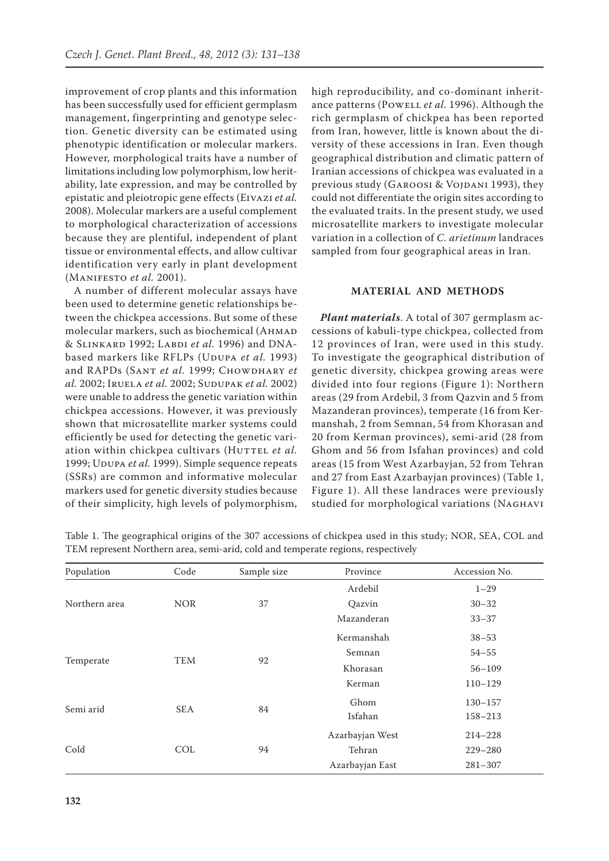improvement of crop plants and this information has been successfully used for efficient germplasm management, fingerprinting and genotype selection. Genetic diversity can be estimated using phenotypic identification or molecular markers. However, morphological traits have a number of limitations including low polymorphism, low heritability, late expression, and may be controlled by epistatic and pleiotropic gene effects (Eivazi *et al.* 2008). Molecular markers are a useful complement to morphological characterization of accessions because they are plentiful, independent of plant tissue or environmental effects, and allow cultivar identification very early in plant development (Manifesto *et al.* 2001).

A number of different molecular assays have been used to determine genetic relationships between the chickpea accessions. But some of these molecular markers, such as biochemical (AHMAD & Slinkard 1992; Labdi *et al.* 1996) and DNAbased markers like RFLPs (UDUPA *et al.* 1993) and RAPDs (SANT et al. 1999; CHOWDHARY et *al.* 2002; Iruela *et al.* 2002; Sudupak *et al.* 2002) were unable to address the genetic variation within chickpea accessions. However, it was previously shown that microsatellite marker systems could efficiently be used for detecting the genetic variation within chickpea cultivars (HUTTEL et al. 1999; UDUPA et al. 1999). Simple sequence repeats (SSRs) are common and informative molecular markers used for genetic diversity studies because of their simplicity, high levels of polymorphism, high reproducibility, and co-dominant inheritance patterns (Powell *et al.* 1996). Although the rich germplasm of chickpea has been reported from Iran, however, little is known about the diversity of these accessions in Iran. Even though geographical distribution and climatic pattern of Iranian accessions of chickpea was evaluated in a previous study (GAROOSI & VOJDANI 1993), they could not differentiate the origin sites according to the evaluated traits. In the present study, we used microsatellite markers to investigate molecular variation in a collection of *C. arietinum* landraces sampled from four geographical areas in Iran.

## **MATERIAL AND METHODS**

*Plant materials*. A total of 307 germplasm accessions of kabuli-type chickpea, collected from 12 provinces of Iran, were used in this study. To investigate the geographical distribution of genetic diversity, chickpea growing areas were divided into four regions (Figure 1): Northern areas (29 from Ardebil, 3 from Qazvin and 5 from Mazanderan provinces), temperate (16 from Kermanshah, 2 from Semnan, 54 from Khorasan and 20 from Kerman provinces), semi-arid (28 from Ghom and 56 from Isfahan provinces) and cold areas (15 from West Azarbayjan, 52 from Tehran and 27 from East Azarbayjan provinces) (Table 1, Figure 1). All these landraces were previously studied for morphological variations (NAGHAVI

| Population    | Code       | Sample size | Province        | Accession No. |
|---------------|------------|-------------|-----------------|---------------|
|               |            |             | Ardebil         | $1 - 29$      |
| Northern area | <b>NOR</b> | 37          | Qazvin          | $30 - 32$     |
|               |            |             | Mazanderan      | $33 - 37$     |
| Temperate     | TEM        | 92          | Kermanshah      | $38 - 53$     |
|               |            |             | Semnan          | $54 - 55$     |
|               |            |             | Khorasan        | $56 - 109$    |
|               |            |             | Kerman          | $110 - 129$   |
| Semi arid     |            | 84          | Ghom            | $130 - 157$   |
|               | <b>SEA</b> |             | Isfahan         | $158 - 213$   |
|               |            |             | Azarbayjan West | $214 - 228$   |
| Cold          | <b>COL</b> | 94          | Tehran          | $229 - 280$   |
|               |            |             | Azarbayjan East | $281 - 307$   |

Table 1. The geographical origins of the 307 accessions of chickpea used in this study; NOR, SEA, COL and TEM represent Northern area, semi-arid, cold and temperate regions, respectively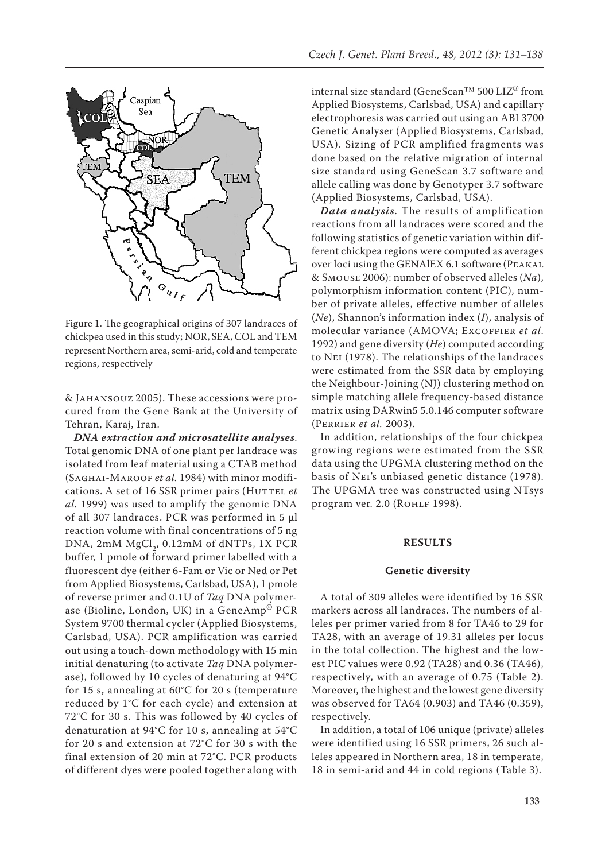

Figure 1. The geographical origins of 307 landraces of chickpea used in this study; NOR, SEA, COL and TEM represent Northern area, semi-arid, cold and temperate regions, respectively

& Jahansouz 2005). These accessions were procured from the Gene Bank at the University of Tehran, Karaj, Iran.

*DNA extraction and microsatellite analyses*. Total genomic DNA of one plant per landrace was isolated from leaf material using a CTAB method (Saghai-Maroof *et al.* 1984) with minor modifications. A set of 16 SSR primer pairs (HUTTEL et *al.* 1999) was used to amplify the genomic DNA of all 307 landraces. PCR was performed in 5 μl reaction volume with final concentrations of 5 ng DNA, 2mM MgCl<sub>2</sub>, 0.12mM of dNTPs, 1X PCR buffer, 1 pmole of forward primer labelled with a fluorescent dye (either 6-Fam or Vic or Ned or Pet from Applied Biosystems, Carlsbad, USA), 1 pmole of reverse primer and 0.1U of *Taq* DNA polymerase (Bioline, London, UK) in a GeneAmp® PCR System 9700 thermal cycler (Applied Biosystems, Carlsbad, USA). PCR amplification was carried out using a touch-down methodology with 15 min initial denaturing (to activate *Taq* DNA polymerase), followed by 10 cycles of denaturing at 94°C for 15 s, annealing at 60°C for 20 s (temperature reduced by 1°C for each cycle) and extension at 72°C for 30 s. This was followed by 40 cycles of denaturation at 94°C for 10 s, annealing at 54°C for 20 s and extension at 72°C for 30 s with the final extension of 20 min at 72°C. PCR products of different dyes were pooled together along with internal size standard (GeneScan™ 500 LIZ® from Applied Biosystems, Carlsbad, USA) and capillary electrophoresis was carried out using an ABI 3700 Genetic Analyser (Applied Biosystems, Carlsbad, USA). Sizing of PCR amplified fragments was done based on the relative migration of internal size standard using GeneScan 3.7 software and allele calling was done by Genotyper 3.7 software (Applied Biosystems, Carlsbad, USA).

*Data analysis*. The results of amplification reactions from all landraces were scored and the following statistics of genetic variation within different chickpea regions were computed as averages over loci using the GENAlEX 6.1 software (Peakal & Smouse 2006): number of observed alleles (*Na*), polymorphism information content (PIC), number of private alleles, effective number of alleles (*Ne*), Shannon's information index (*I*), analysis of molecular variance (AMOVA; Excoffier *et al*. 1992) and gene diversity (*He*) computed according to Nei (1978). The relationships of the landraces were estimated from the SSR data by employing the Neighbour-Joining (NJ) clustering method on simple matching allele frequency-based distance matrix using DARwin5 5.0.146 computer software (Perrier *et al.* 2003).

In addition, relationships of the four chickpea growing regions were estimated from the SSR data using the UPGMA clustering method on the basis of Nei's unbiased genetic distance (1978). The UPGMA tree was constructed using NTsys program ver. 2.0 (ROHLF 1998).

## **RESULTS**

#### **Genetic diversity**

A total of 309 alleles were identified by 16 SSR markers across all landraces. The numbers of alleles per primer varied from 8 for TA46 to 29 for TA28, with an average of 19.31 alleles per locus in the total collection. The highest and the lowest PIC values were 0.92 (TA28) and 0.36 (TA46), respectively, with an average of 0.75 (Table 2). Moreover, the highest and the lowest gene diversity was observed for TA64 (0.903) and TA46 (0.359), respectively.

In addition, a total of 106 unique (private) alleles were identified using 16 SSR primers, 26 such alleles appeared in Northern area, 18 in temperate, 18 in semi-arid and 44 in cold regions (Table 3).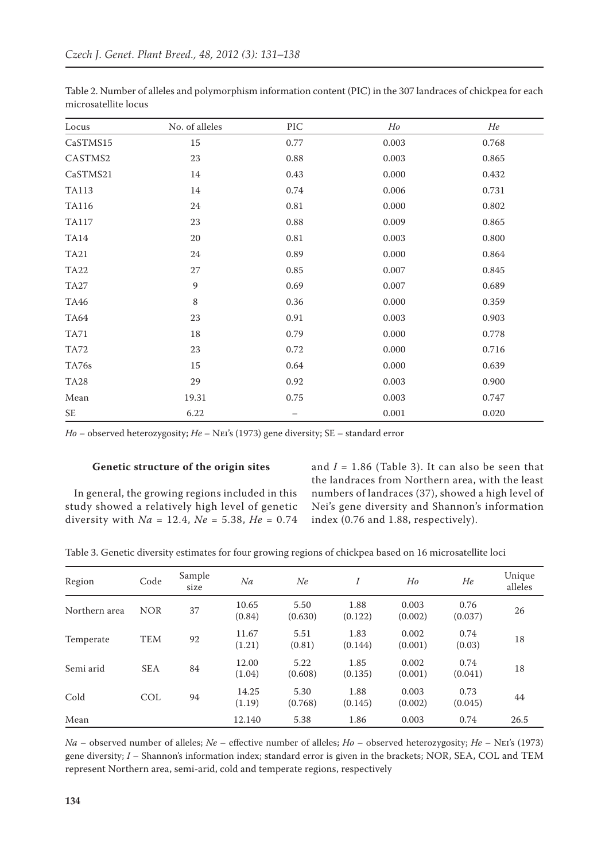| Locus        | No. of alleles | PIC      | Ho    | He    |
|--------------|----------------|----------|-------|-------|
| CaSTMS15     | $15\,$         | 0.77     | 0.003 | 0.768 |
| CASTMS2      | 23             | 0.88     | 0.003 | 0.865 |
| CaSTMS21     | 14             | 0.43     | 0.000 | 0.432 |
| <b>TA113</b> | 14             | 0.74     | 0.006 | 0.731 |
| <b>TA116</b> | $24\,$         | $0.81\,$ | 0.000 | 0.802 |
| <b>TA117</b> | 23             | 0.88     | 0.009 | 0.865 |
| <b>TA14</b>  | $20\,$         | $0.81\,$ | 0.003 | 0.800 |
| <b>TA21</b>  | $24\,$         | 0.89     | 0.000 | 0.864 |
| <b>TA22</b>  | 27             | 0.85     | 0.007 | 0.845 |
| <b>TA27</b>  | $\overline{9}$ | 0.69     | 0.007 | 0.689 |
| <b>TA46</b>  | $\,8\,$        | 0.36     | 0.000 | 0.359 |
| <b>TA64</b>  | 23             | 0.91     | 0.003 | 0.903 |
| <b>TA71</b>  | $18\,$         | 0.79     | 0.000 | 0.778 |
| <b>TA72</b>  | 23             | 0.72     | 0.000 | 0.716 |
| TA76s        | $15\,$         | 0.64     | 0.000 | 0.639 |
| <b>TA28</b>  | 29             | 0.92     | 0.003 | 0.900 |
| ${\it Mean}$ | 19.31          | 0.75     | 0.003 | 0.747 |
| SE           | 6.22           |          | 0.001 | 0.020 |

Table 2. Number of alleles and polymorphism information content (PIC) in the 307 landraces of chickpea for each microsatellite locus

*Ho* – observed heterozygosity; *He* – Nei's (1973) gene diversity; SE – standard error

## **Genetic structure of the origin sites**

In general, the growing regions included in this study showed a relatively high level of genetic diversity with *Na* = 12.4, *Ne* = 5.38, *He* = 0.74 and  $I = 1.86$  (Table 3). It can also be seen that the landraces from Northern area, with the least numbers of landraces (37), showed a high level of Nei's gene diversity and Shannon's information index (0.76 and 1.88, respectively).

Table 3. Genetic diversity estimates for four growing regions of chickpea based on 16 microsatellite loci

| Region        | Code       | Sample<br>size | Na              | Ne              |                 | H <sub>o</sub>   | He              | Unique<br>alleles |
|---------------|------------|----------------|-----------------|-----------------|-----------------|------------------|-----------------|-------------------|
| Northern area | <b>NOR</b> | 37             | 10.65<br>(0.84) | 5.50<br>(0.630) | 1.88<br>(0.122) | 0.003<br>(0.002) | 0.76<br>(0.037) | 26                |
| Temperate     | <b>TEM</b> | 92             | 11.67<br>(1.21) | 5.51<br>(0.81)  | 1.83<br>(0.144) | 0.002<br>(0.001) | 0.74<br>(0.03)  | 18                |
| Semi arid     | <b>SEA</b> | 84             | 12.00<br>(1.04) | 5.22<br>(0.608) | 1.85<br>(0.135) | 0.002<br>(0.001) | 0.74<br>(0.041) | 18                |
| Cold          | <b>COL</b> | 94             | 14.25<br>(1.19) | 5.30<br>(0.768) | 1.88<br>(0.145) | 0.003<br>(0.002) | 0.73<br>(0.045) | 44                |
| Mean          |            |                | 12.140          | 5.38            | 1.86            | 0.003            | 0.74            | 26.5              |

*Na* – observed number of alleles; *Ne* – effective number of alleles; *Ho* – observed heterozygosity; *He* – Nei's (1973) gene diversity; *I* – Shannon's information index; standard error is given in the brackets; NOR, SEA, COL and TEM represent Northern area, semi-arid, cold and temperate regions, respectively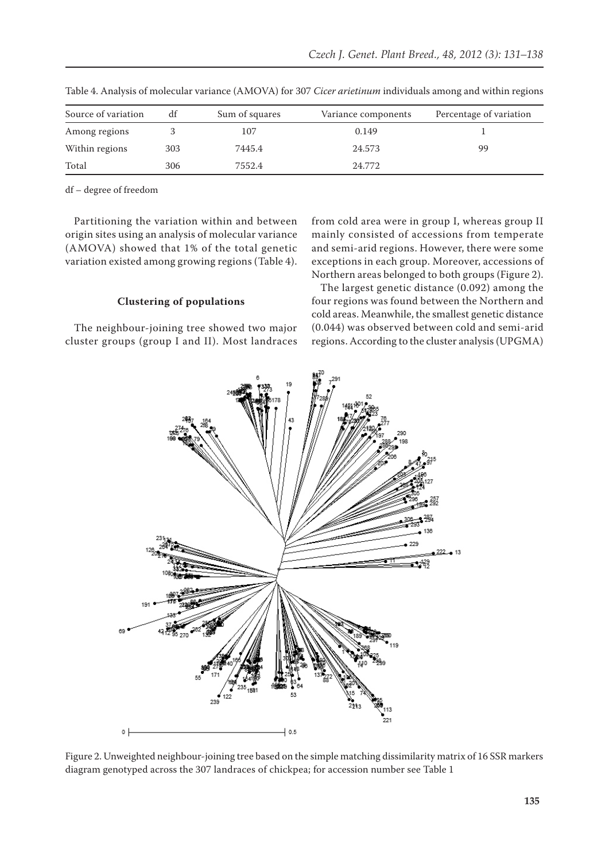| Source of variation | df  | Sum of squares | Variance components | Percentage of variation |
|---------------------|-----|----------------|---------------------|-------------------------|
| Among regions       |     | 107            | 0.149               |                         |
| Within regions      | 303 | 7445.4         | 24.573              | 99                      |
| Total               | 306 | 7552.4         | 24.772              |                         |

Table 4. Analysis of molecular variance (AMOVA) for 307 *Cicer arietinum* individuals among and within regions

df – degree of freedom

Partitioning the variation within and between origin sites using an analysis of molecular variance (AMOVA) showed that 1% of the total genetic variation existed among growing regions (Table 4).

**Clustering of populations**

The neighbour-joining tree showed two major cluster groups (group I and II). Most landraces from cold area were in group I, whereas group II mainly consisted of accessions from temperate and semi-arid regions. However, there were some exceptions in each group. Moreover, accessions of Northern areas belonged to both groups (Figure 2).

The largest genetic distance (0.092) among the four regions was found between the Northern and cold areas. Meanwhile, the smallest genetic distance (0.044) was observed between cold and semi-arid regions. According to the cluster analysis (UPGMA)



Figure 2. Unweighted neighbour-joining tree based on the simple matching dissimilarity matrix of 16 SSR markers diagram genotyped across the 307 landraces of chickpea; for accession number see Table 1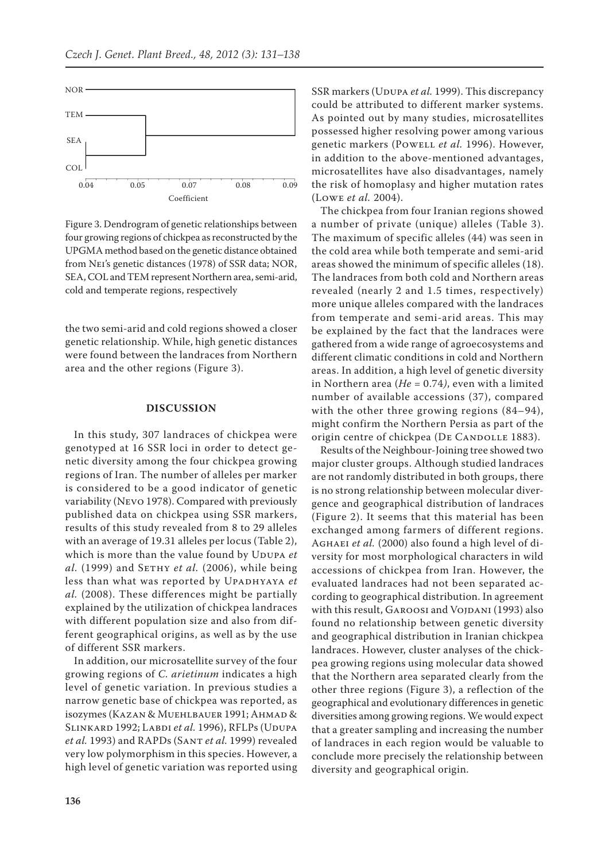

Figure 3. Dendrogram of genetic relationships between four growing regions of chickpea as reconstructed by the UPGMA method based on the genetic distance obtained from Nei's genetic distances (1978) of SSR data; NOR, SEA, COL and TEM represent Northern area, semi-arid, cold and temperate regions, respectively

the two semi-arid and cold regions showed a closer genetic relationship. While, high genetic distances were found between the landraces from Northern area and the other regions (Figure 3).

## **DISCUSSION**

In this study, 307 landraces of chickpea were genotyped at 16 SSR loci in order to detect genetic diversity among the four chickpea growing regions of Iran. The number of alleles per marker is considered to be a good indicator of genetic variability (Nevo 1978). Compared with previously published data on chickpea using SSR markers, results of this study revealed from 8 to 29 alleles with an average of 19.31 alleles per locus (Table 2), which is more than the value found by UDUPA et *al.* (1999) and SETHY *et al.* (2006), while being less than what was reported by UPADHYAYA et *al.* (2008). These differences might be partially explained by the utilization of chickpea landraces with different population size and also from different geographical origins, as well as by the use of different SSR markers.

In addition, our microsatellite survey of the four growing regions of *C. arietinum* indicates a high level of genetic variation. In previous studies a narrow genetic base of chickpea was reported, as isozymes (Kazan & Muehlbauer 1991; Ahmad & SLINKARD 1992; LABDI *et al.* 1996), RFLPs (UDUPA *et al.* 1993) and RAPDs (Sant *et al.* 1999) revealed very low polymorphism in this species. However, a high level of genetic variation was reported using SSR markers (UDUPA *et al.* 1999). This discrepancy could be attributed to different marker systems. As pointed out by many studies, microsatellites possessed higher resolving power among various genetic markers (Powell *et al.* 1996). However, in addition to the above-mentioned advantages, microsatellites have also disadvantages, namely the risk of homoplasy and higher mutation rates (Lowe *et al.* 2004).

The chickpea from four Iranian regions showed a number of private (unique) alleles (Table 3). The maximum of specific alleles (44) was seen in the cold area while both temperate and semi-arid areas showed the minimum of specific alleles (18). The landraces from both cold and Northern areas revealed (nearly 2 and 1.5 times, respectively) more unique alleles compared with the landraces from temperate and semi-arid areas. This may be explained by the fact that the landraces were gathered from a wide range of agroecosystems and different climatic conditions in cold and Northern areas. In addition, a high level of genetic diversity in Northern area (*He* = 0.74*)*, even with a limited number of available accessions (37), compared with the other three growing regions (84–94), might confirm the Northern Persia as part of the origin centre of chickpea (DE CANDOLLE 1883).

Results of the Neighbour-Joining tree showed two major cluster groups. Although studied landraces are not randomly distributed in both groups, there is no strong relationship between molecular divergence and geographical distribution of landraces (Figure 2). It seems that this material has been exchanged among farmers of different regions. AGHAEI et al. (2000) also found a high level of diversity for most morphological characters in wild accessions of chickpea from Iran. However, the evaluated landraces had not been separated according to geographical distribution. In agreement with this result, GAROOSI and VOJDANI (1993) also found no relationship between genetic diversity and geographical distribution in Iranian chickpea landraces. However, cluster analyses of the chickpea growing regions using molecular data showed that the Northern area separated clearly from the other three regions (Figure 3), a reflection of the geographical and evolutionary differences in genetic diversities among growing regions. We would expect that a greater sampling and increasing the number of landraces in each region would be valuable to conclude more precisely the relationship between diversity and geographical origin.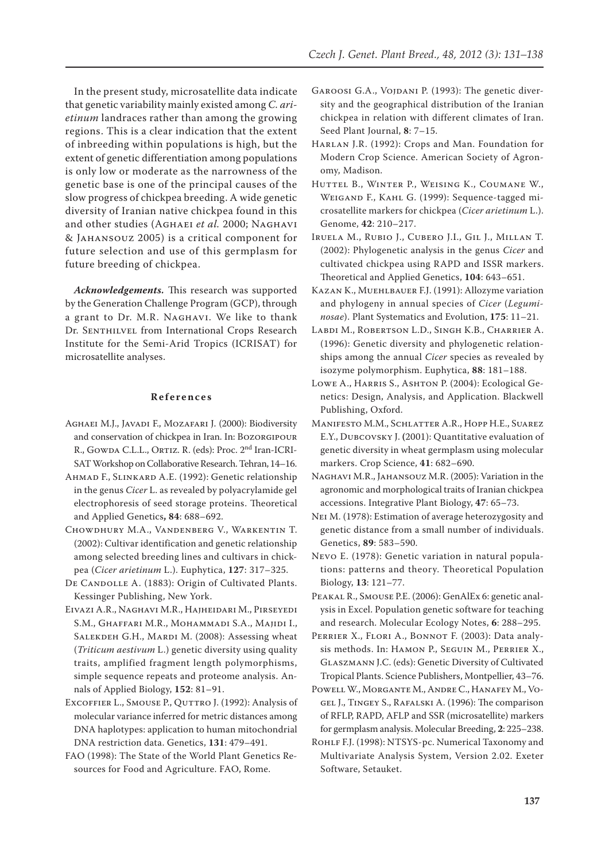In the present study, microsatellite data indicate that genetic variability mainly existed among *C. arietinum* landraces rather than among the growing regions. This is a clear indication that the extent of inbreeding within populations is high, but the extent of genetic differentiation among populations is only low or moderate as the narrowness of the genetic base is one of the principal causes of the slow progress of chickpea breeding. A wide genetic diversity of Iranian native chickpea found in this and other studies (Aghaei *et al.* 2000; Naghavi & Jahansouz 2005) is a critical component for future selection and use of this germplasm for future breeding of chickpea.

*Acknowledgements.* This research was supported by the Generation Challenge Program (GCP), through a grant to Dr. M.R. Naghavi. We like to thank Dr. SENTHILVEL from International Crops Research Institute for the Semi-Arid Tropics (ICRISAT) for microsatellite analyses.

# **References**

- Aghaei M.J., Javadi F., Mozafari J. (2000): Biodiversity and conservation of chickpea in Iran. In: Bozorgipour R., GOWDA C.L.L., ORTIZ. R. (eds): Proc. 2<sup>nd</sup> Iran-ICRI-SAT Workshop on Collaborative Research. Tehran, 14–16.
- Ahmad F., Slinkard A.E. (1992): Genetic relationship in the genus *Cicer* L. as revealed by polyacrylamide gel electrophoresis of seed storage proteins. Theoretical and Applied Genetics**, 84**: 688–692.
- Chowdhury M.A., Vandenberg V., Warkentin T. (2002): Cultivar identification and genetic relationship among selected breeding lines and cultivars in chickpea (*Cicer arietinum* L.). Euphytica, **127**: 317–325.
- DE CANDOLLE A. (1883): Origin of Cultivated Plants. Kessinger Publishing, New York.
- Eivazi A.R., Naghavi M.R., Hajheidari M., Pirseyedi S.M., Ghaffari M.R., Mohammadi S.A., Majidi I., SALEKDEH G.H., MARDI M. (2008): Assessing wheat (*Triticum aestivum* L.) genetic diversity using quality traits, amplified fragment length polymorphisms, simple sequence repeats and proteome analysis. Annals of Applied Biology, **152**: 81–91.
- EXCOFFIER L., SMOUSE P., QUTTRO J. (1992): Analysis of molecular variance inferred for metric distances among DNA haplotypes: application to human mitochondrial DNA restriction data. Genetics, **131**: 479–491.
- FAO (1998): The State of the World Plant Genetics Resources for Food and Agriculture. FAO, Rome.
- GAROOSI G.A., VOJDANI P. (1993): The genetic diversity and the geographical distribution of the Iranian chickpea in relation with different climates of Iran. Seed Plant Journal, **8**: 7–15.
- Harlan J.R. (1992): Crops and Man. Foundation for Modern Crop Science. American Society of Agronomy, Madison.
- Huttel B., Winter P., Weising K., Coumane W., Weigand F., Kahl G. (1999): Sequence-tagged microsatellite markers for chickpea (*Cicer arietinum* L.). Genome, **42**: 210–217.
- Iruela M., Rubio J., Cubero J.I., Gil J., Millan T. (2002): Phylogenetic analysis in the genus *Cicer* and cultivated chickpea using RAPD and ISSR markers. Theoretical and Applied Genetics, **104**: 643–651.
- Kazan K., Muehlbauer F.J. (1991): Allozyme variation and phylogeny in annual species of *Cicer* (*Leguminosae*). Plant Systematics and Evolution, **175**: 11–21.
- Labdi M., Robertson L.D., Singh K.B., Charrier A. (1996): Genetic diversity and phylogenetic relationships among the annual *Cicer* species as revealed by isozyme polymorphism. Euphytica, **88**: 181–188.
- LOWE A., HARRIS S., ASHTON P. (2004): Ecological Genetics: Design, Analysis, and Application. Blackwell Publishing, Oxford.
- Manifesto M.M., Schlatter A.R., Hopp H.E., Suarez E.Y., Dubcovsky J. **(**2001): Quantitative evaluation of genetic diversity in wheat germplasm using molecular markers. Crop Science, **41**: 682–690.
- Naghavi M.R., Jahansouz M.R. (2005): Variation in the agronomic and morphological traits of Iranian chickpea accessions. Integrative Plant Biology, **47**: 65–73.
- Nei M. (1978): Estimation of average heterozygosity and genetic distance from a small number of individuals. Genetics, **89**: 583–590.
- Nevo E. (1978): Genetic variation in natural populations: patterns and theory. Theoretical Population Biology, **13**: 121–77.
- Peakal R., Smouse P.E. (2006): GenAlEx 6: genetic analysis in Excel. Population genetic software for teaching and research. Molecular Ecology Notes, **6**: 288–295.
- PERRIER X., FLORI A., BONNOT F. (2003): Data analysis methods. In: Hamon P., Seguin M., Perrier X., Glaszmann J.C. (eds): Genetic Diversity of Cultivated Tropical Plants. Science Publishers, Montpellier, 43–76.
- Powell W., Morgante M., Andre C., Hanafey M., Vogel J., Tingey S., Rafalski A. (1996): The comparison of RFLP, RAPD, AFLP and SSR (microsatellite) markers for germplasm analysis. Molecular Breeding, **2**: 225–238.
- ROHLF F.J. (1998): NTSYS-pc. Numerical Taxonomy and Multivariate Analysis System, Version 2.02. Exeter Software, Setauket.